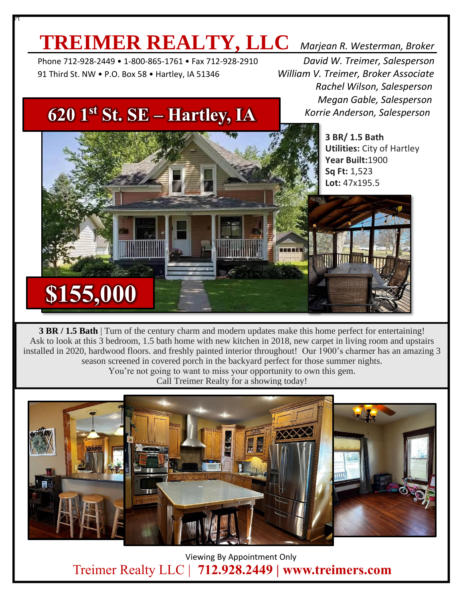### **TREIMER REALTY, LLC** *Marjean R. Westerman, Broker*

 Phone 712-928-2449 • 1-800-865-1761 • Fax 712-928-2910 *David W. Treimer, Salesperson* 91 Third St. NW • P.O. Box 58 • Hartley, IA 51346 *William V. Treimer, Broker Associate*

Pt

 *Rachel Wilson, Salesperson Megan Gable, Salesperson Korrie Anderson, Salesperson*

> **3 BR/ 1.5 Bath Utilities:** City of Hartley **Year Built:**1900 **Sq Ft:** 1,523 **Lot:** 47x195.5

#### **620 1st St. SE – Hartley, IA**

**\$155,000**

**3 BR / 1.5 Bath** | Turn of the century charm and modern updates make this home perfect for entertaining! Ask to look at this 3 bedroom, 1.5 bath home with new kitchen in 2018, new carpet in living room and upstairs installed in 2020, hardwood floors. and freshly painted interior throughout! Our 1900's charmer has an amazing 3 season screened in covered porch in the backyard perfect for those summer nights. You're not going to want to miss your opportunity to own this gem.

Call Treimer Realty for a showing today!



 Viewing By Appointment Only Treimer Realty LLC | **712.928.2449 | www.treimers.com**